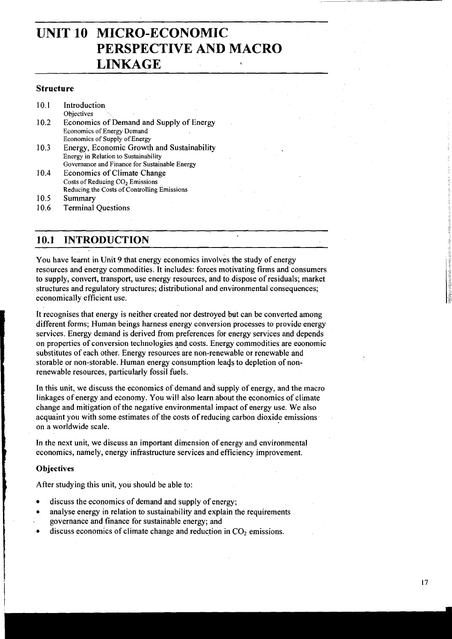# **UNIT 10 MICRO-ECONOMIC PERSPECTIVE AND MACRO LINKAGE <sup>I</sup>**

# **Structure**

| 10.1 | Introduction                                  |
|------|-----------------------------------------------|
|      | Objectives                                    |
| 10.2 | Economics of Demand and Supply of Energy      |
|      | Economics of Energy Demand                    |
|      | Economics of Supply of Energy                 |
| 10.3 | Energy, Economic Growth and Sustainability    |
|      | Energy in Relation to Sustainability          |
|      | Governance and Finance for Sustainable Energy |
| 10.4 | <b>Economics of Climate Change</b>            |
|      | Costs of Reducing CO <sub>2</sub> Emissions   |
|      | Reducing the Costs of Controlling Emissions   |
| 10.5 | Summary                                       |
| 10.6 | <b>Terminal Questions</b>                     |

# **10.1 INTRODUCTION**

You have learnt in Unit 9 that energy economics involves the study of energy resources and energy commodities. It includes: forces motivating firms and consumers to supply, convert, transport, use energy resources, and to dispose of residuals; market structures and regulatory structures; distributional and environmental consequences; economically efficient use.

It recognises that energy is neither created nor destroyed but can be converted among different forms; Human beings harness energy conversion processes to provide energy services. Energy demand is derived from preferences for energy services and depends on properties of conversion technologies and costs. Energy commodities are eoonomic substitutes of each other. Energy resources are non-renewable or renewable and storable or non-storable. Human energy consumption leads to depletion of nonrenewable resources, particularly fossil fuels.

In this unit, we discuss the economics of demand and supply of energy, and the macro linkages of energy and economy. You will also learn about the economics of climate change and mitigation of the negative environmental impact of energy use. We also acquaint you with some estimates of the costs of reducing carbon dioxide emissions on a worldwide scale.

In the next unit, we discuss an important dimension of energy and environmental economics, namely, energy infrastructure services and efficiency improvement.

#### **L Objectives**

After studying this unit, you should be able to:

- discuss the economics of demand and supply of energy;
- analyse energy in relation to sustainability and explain the requirements
- governance and finance for sustainable energy; and
- discuss economics of climate change and reduction in CO<sub>2</sub> emissions.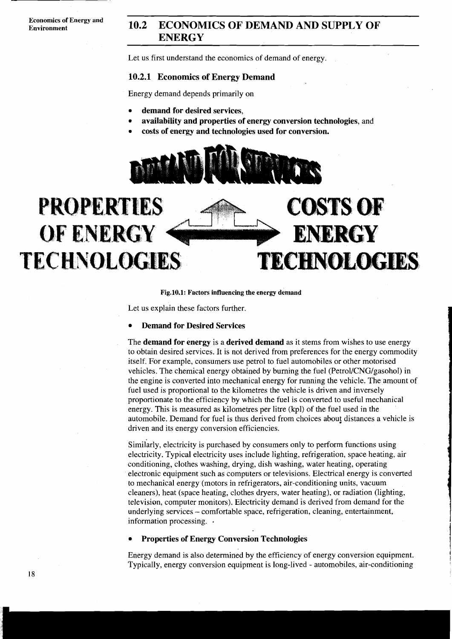**Economics of Energy and** 

# **10.2 ECONOMICS OF DEMAND AND SUPPLY OF ENERGY**

Let us first understand the economics of demand of energy.

#### **10.2.1 Economics of Energy Demand**

Energy demand depends primarily on

- **demand for desired services,**
- **availability and properties of energy conversion technologies,** and
- **costs of energy and technologies used for conversion.**





**Fig.lO.1: Factors influencing the energy demand** 

Let us explain these factors further.

#### **Demand for Desired Services**

The **demand for energy** is a **derived demand** as it stems from wishes to use energy to obtain desired services. It is not derived from preferences for the energy commodity itself. For example, consumers use petrol to fuel automobiles or other motorised vehicles. The chemical energy obtained by burning the fuel (Petrol/CNG/gasohol) in the engine is converted into mechanical energy for running the vehicle. The amount of fuel used is proportional to the kilometres the vehicle is driven and inversely proportionate to the efficiency by which the fuel is converted to useful mechanical energy. This is measured as kilometres per litre (kpl) of the fuel used in the automobile. Demand for fuel is thus derived from choices abouf distances a vehicle is driven and its energy conversion efficiencies.

Similarly, electricity is purchased by consumers only to perform functions using electricity. Typical electricity uses include lighting, refrigeration, space heating, air conditioning, clothes washing, drying, dish washing, water heating, operating electronic equipment such as computers or televisions. Electrical energy is converted to mechanical energy (motors in refrigerators, air-conditioning units, vacuum cleaners), heat (space heating, clothes dryers, water heating), or radiation (lighting, television, computer monitors). Electricity demand is derived from demand for the underlying services - comfortable space, refrigeration, cleaning, entertainment, information processing. .

#### **Properties of Energy Conversion Technologies**

Energy demand is also determined by the efficiency of energy conversion equipment. Typically, energy conversion equipment is long-lived - automobiles, air-conditioning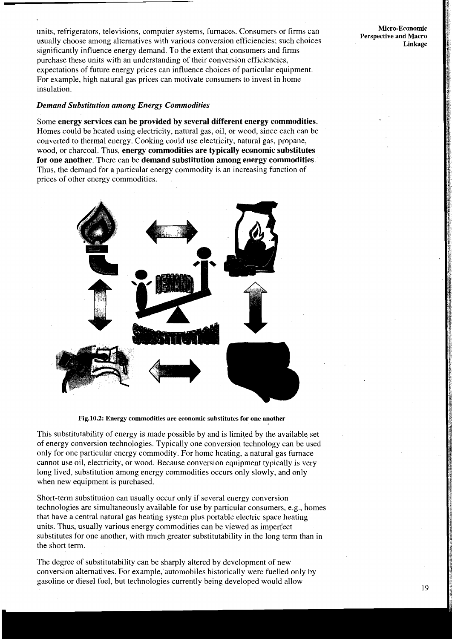units, refrigerators, televisions, computer systems, furnaces. Consumers or firms can usually choose among alternatives with various conversion efficiencies; such choices significantly influence energy demand. To the extent that consumers and firms purchase these units with an understanding of their conversion efficiencies, expectations of future energy prices can influence choices of particular equipment. For example, high natural gas prices can motivate consumers to invest in home insulation.

#### *Demand Substitution among Energy Commodities*

Some **energy services can be provided by several different energy commodities.**  Homes could be heated using electricity, natural gas, oil, or wood, since each can be converted to thermal energy. Cooking could use electricity, natural gas, propane, wood, or charcoal. Thus, **energy commodities are typically economic substitutes for one another.** There can be **demand substitution among energy commodities.**  Thus, the demand for a particular energy commodity is an increasing function of prices of other energy commodities.



**Fig.10.2: Energy commodities are economic substitutes for one another** 

This substitutability of energy is made possible by and is limited by the available, set of energy conversion technologies. Typically one conversion technology can be used only for one particular energy commodity. For home heating, a natural gas furnace cannot use oil, electricity, or wood. Because conversion equipment typically is very long lived, substitution among energy commodities occurs only slowly, and only when new equipment is purchased.

Short-term substitution can usually occur only if several energy conversion technologies are simultaneously available for use by particular consumers, e.g., homes that have a central natural gas heating system plus portable electric space heating units. Thus, usually various energy commodities can be viewed as imperfect substitutes for one another, with much greater substitutability in the long term than in the short term.

The degree of substitutability can be sharply altered by development of new conversion alternatives. For example, automobiles historically were fuelled only by gasoline or diesel fuel, but technologies currently being developed would allow

**Micro-Economic Perspective and Macro Linkage**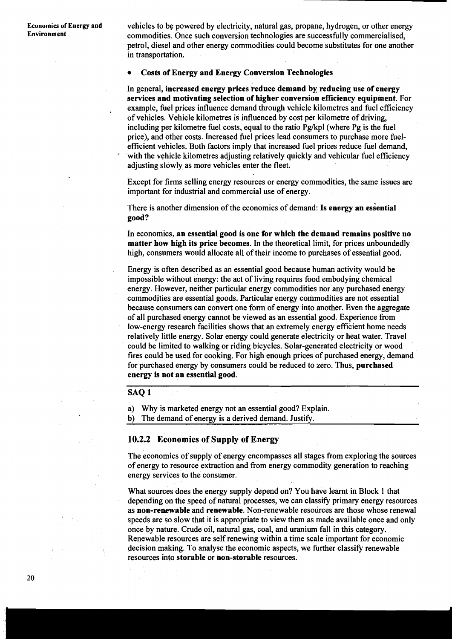**Economics of Energy and** vehicles to be powered by electricity, natural gas, propane, hydrogen, or other energy<br>**Environment** commodities Once such conversion technologies are successfully commercialised commodities. Once such conversion technologies are successfully commercialised, petrol, diesel and other energy commodities could become substitutes for one another in transportation.

### **Costs of Energy and Energy Conversion Technologies**

In general, **increased energy prices reduce demand by reducing use of energy services and motivating selection of higher conversion efficiency equipment.** For example, fuel prices influence demand through vehicle kilometres and fuel efficiency of vehicles. Vehicle kilometres is influenced by cost per kilometre of driving, including per kilometre fuel costs, equal to the ratio Pg/kpl (where Pg is the fuel price), and other costs. Increased fuel prices lead consumers to purchase more fuel-<br>efficient vehicles. Both factors imply that increased fuel prices reduce fuel demand, with the vehicle kilometres adjusting relatively quickly and vehicular fuel efficiency adjusting slowly as more vehicles enter the fleet.

Except for firms selling energy resources or energy commodities, the same issues are important for industrial and commercial use of energy.

There is another dimension of the economics of demand: **Is energy an essential good?** 

In economics, **an essential good is one for which the demand remains positive no matter how high its price becomes.** In the theoretical limit, for prices unboundedly high, consumers would allocate all of their income to purchases of essential good.

Energy is often described as an essential good because human activity would be impossible without energy: the act of living requires food embodying chemical energy. However, neither particular energy commodities nor any purchased energy commodities are essential goods. Particular energy commodities are not essential because consumers can convert one form of energy into another. Even the aggregate of all purchased energy cannot be viewed as an essential good. Experience from low-energy research facilities shows that an extremely energy efficient home needs relatively little energy. Solar energy could generate electricity or heat water. Travel could be limited to walking or riding bicycles. Solar-generated electricity or wood fires could be used for cooking. For high enough prices of purchased energy, demand for purchased energy by consumers could be reduced to zero. Thus, **purchased energy** is **not an essential good.** 

# **SAQ 1**

a) Why is marketed energy not an essential good? Explain.

b) The demand of energy is a derived demand. Justify.

#### **10.2.2 Economics of Supply of Energy**

The economics of supply of energy encompasses all stages from exploring the sources of energy to resource extraction and from energy commodity generation to reaching energy services to the consumer.

What sources does the energy supply depend on? You have learnt in Block 1 that depending on the speed of natural processes, we can classify primary energy resources as **non-renewable** and **renewable.** Non-renewable resources are those whose renewal speeds are so slow that it is appropriate to view them as made available once and only once by nature. Crude oil, natural gas, coal, and uranium fall in this category. Renewable resources are self renewing within a time scale important for economic decision making. To analyse the economic aspects, we further classify renewable resources into **storable** or **non-storable** resources.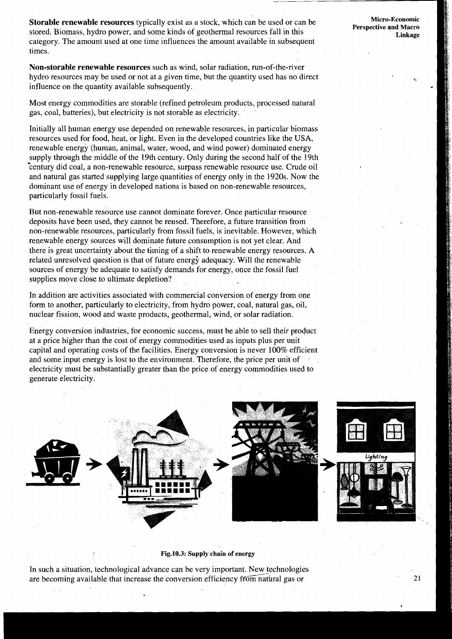**Storable renewable resources** typically exist as a stock, which can be used or can be **Micro-Economic Micro-Economic Perspective and Macro** stored. Biomass, hydro power, and some kinds of geothermal resources fall in this **Linkage Linkage Linkage** category. The amount used at one time influences the amount available in subsequent times.

**Non-storable renewable resources** such as wind, solar radiation, run-of-the-river hydro resources may be used or not at a given time, but the quantity used has no direct influence on the quantity available subsequently.

Most energy commodities are storable (refined petroleum products, processed natural gas, coal, batteries), but electricity is not storable as electricity.

Initially all human energy use depended on renewable resources, in particular biomass resources used for food, heat, or light. Even in the developed countries like the USA, renewable energy (human, animal, water, wood, and wind power) dominated energy supply through the middle of the 19th century. Only during the second half of the 19th '+century did coal, a non-renewable resource, surpass renewable resource use. Crude oil and natural gas started supplying large quantities of energy only in the 1920s. Now the dominant use of energy in developed nations is based on non-renewable resources, particularly fossil fuels.

But non-renewable resource use cannot dominate forever. Once particular resource deposits have been used, they cannot be reused. Therefore, a future transition from non-renewable resources, particularly from fossil fuels, is inevitable. However, which renewable energy sources will dominate future consumption is not yet clear. And there is great uncertainty about the timing of a shift to renewable energy resources. A related unresolved question is that of future energy adequacy. Will the renewable sources of energy be adequate to satisfy demands for energy, once the fossil fuel supplies move close to ultimate depletion?

In addition are activities associated with commercial conversion of energy from one form to another, particularly to electricity, from hydro power, coal, natural gas, oil, nuclear fission, wood and waste products, geothermal, wind, or solar radiation.

Energy conversion industries, for economic success, must be able to sell their product at a price higher than the cost of energy commodities used as inputs plus per unit capital and operating costs of the facilities. Energy conversion is never 100% efficient and some input energy is lost to the environment. Therefore, the price per unit of electricity must be substantially greater than the price of energy commodities used to generate electricity.



**Fig.10.3: Supply chain of energy** 

In such a situation, technological advance can be very important. New technologies are becoming available that increase the conversion efficiency from natbral gas or

21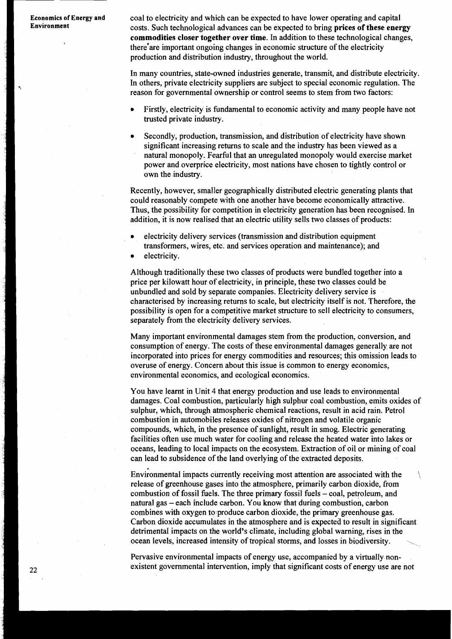**Economics of Energy and coal to electricity and which can be expected to have lower operating and capital Environment Environment** costs. Such technological advances can be expected to bring **prices of these energy commodities closer together over time.** In addition to these technological changes, there'are important ongoing changes in economic structure of the electricity production and distribution industry, throughout the world.

> In many countries, state-owned industries generate, transmit, and distribute electricity. In others, private electricity suppliers are subject to special economic regulation. The reason for governmental ownership or control seems to stem from two factors:

- Firstly, electricity is fundamental to economic activity and many people have not trusted private industry.
- Secondly, production, transmission, and distribution of electricity have shown significant increasing returns to scale and the industry has been viewed as a natural monopoly. Fearful that an unregulated monopoly would exercise market power and overprice electricity, most nations have chosen to tightly control or own the industry.

Recently, however, smaller geographically distributed electric generating plants that could reasonably compete with one another have become economically attractive. Thus, the possibility for competition in electricity generation has been recognised. In addition, it is now realised that an electric utility sells two classes of products:

electricity delivery services (transmission and distribution equipment transformers, wires, etc. and services operation and maintenance); and

electricity.

Although traditionally these two classes of products were bundled together into a price per kilowatt hour of electricity, in principle, these two classes could be unbundled and sold by separate companies. Electricity delivery service is characterised by increasing returns to scale, but electricity itself is not. Therefore, the possibility is open for a competitive market structure to sell electricity to consumers, separately from the electricity delivery services.

Many important environmental damages stem from the production, conversion, and consumption of energy. The costs of these environmental damages generally. are not incorporated into prices for energy commodities and resources; this omission leads to overuse of energy. Concern about this issue is common to energy economics, environmental economics, and ecological economics.

You have learnt in Unit 4 that energy production and use leads to environmental damages. Coal combustion, particularly high sulphur coal combustion, emits oxides of sulphur, which, through atmospheric chemical reactions, result in acid rain. Petrol combustion in automobiles releases oxides of nitrogen and volatile organic compounds, which, in the presence of sunlight, result in smog. Electric generating facilities often use much water for cooling and release the heated water into lakes or oceans, leading to local impacts on the ecosystem. Extraction of oil or mining of coal can lead to subsidence of the land overlying of the extracted deposits.

Environmental impacts currently receiving most attention are associated with the  $\qquad \setminus$ release of greenhouse gases into the atmosphere, primarily carbon dioxide, from combustion of fossil fuels. The three primary fossil fuels - coal, petroleum, and natural gas – each include carbon. You know that during combustion, carbon combines with oxygen to produce carbon dioxide, the primary greenhouse gas. Carbon dioxide accumulates in the atmosphere and is expected to result in significant detrimental impacts on the world's climate, including global warning, rises in the combines with oxygen to produce carbon dioxide, the primary greenhouse gas.<br>Carbon dioxide accumulates in the atmosphere and is expected to result in significant<br>detrimental impacts on the world's climate, including global

Pervasive environmental impacts of energy use, accompanied by a virtually. non existent governmental intervention, imply that significant costs of energy use are not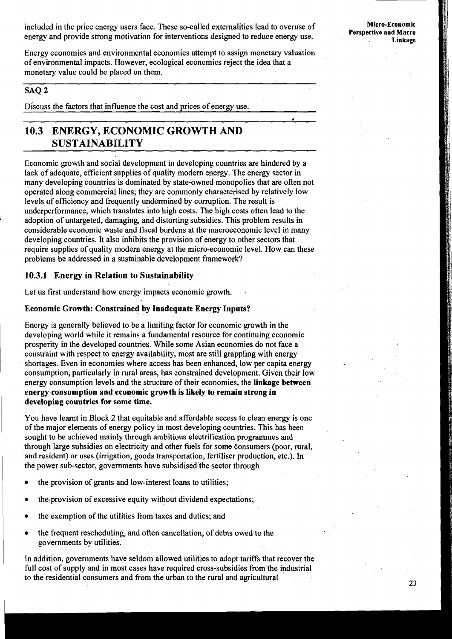included in the price energy users face. These so-called externalities lead to overuse of energy and provide strong motivation for interventions designed to reduce energy use.

Energy economics and environmental economics attempt to assign monetary valuation of environmental impacts. However, ecological economics reject the idea that a monetary value could be placed on them.

### **SAQ 2**

Discuss the factors that influence the cost and prices of energy use.

# **10.3 ENERGY, ECONOMIC GROWTH AND SUSTAINABILITY**

Economic growth and social development in developing countries are hindered by a lack of adequate, efficient supplies of quality modern energy. The energy sector in many developing countries is dominated by state-owned monopolies that are often not operated along commercial lines; they are commonly characterised by relatively low levels of efficiency and frequently undermined by corruption. The result is underperformance, which translates into high costs. The high costs often lead to the adoption of untargeted, damaging, and distorting subsidies. This problem results in considerable economic waste and fiscal burdens at the macroeconomic level in many developing countries. It also inhibits the provision of energy to other sectors that require supplies of quality modern energy at the micro-economic level. How can these problems be addressed in a sustainable development framework?

### **10.3.1 Energy in Relation to Sustainability**

Let us first understand how energy impacts economic growth.

## **Economic Growth: Constrained by Inadequate Energy Inputs?**

Energy is generally believed to be a limiting factor for economic growth in the developing world while it remains a fundamental resource for continuing economic prosperity in the developed countries. While some Asian economies do not face a constraint with respect to energy availability, most are still grappling with energy shortages. Even in economies where access has been enhanced, low per capita energy consumption, particularly in rural areas, has constrained development. Given their low energy consumption levels and the structure of their economies, the **linkage between energy consumption and economic growth is likely to remain strong in developing countries for some time.** 

You have learnt in Block 2 that equitable and affordable access to clean energy is one of the major elements of energy policy in most developing countries. This has been sought to be achieved mainly through ambitious electrification programmes and through large subsidies on electricity and other fuels for some consumers (poor, rural, and resident) or uses (irrigation, goods transportation, fertiliser production, etc.). In the power sub-sector, governments have subsidised the sector through

- the provision of grants and low-interest loans to utilities;
- the provision of excessive equity without dividend expectations;
- the exemption of the utilities from taxes and duties; and
- the frequent rescheduling, and often cancellation, of debts owed to the governments by utilities.

In addition, governments have seldom allowed utilities to adopt tariffs that recover the full cost of supply and in most cases have required cross-subsidies from the industrial to the residential consumers and from the urban to the rural and agricultural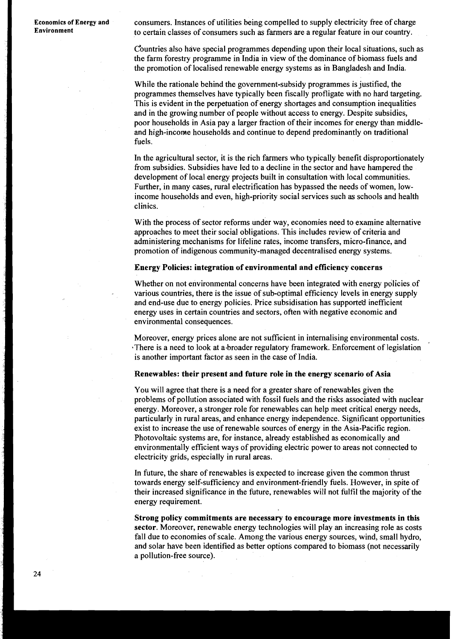Economics of Energy and consumers. Instances of utilities being compelled to supply electricity free of charge<br>Environment to certain classes of consumers such as farmers are a regular feature in our country.<br>Countries als **Environment** to certain classes of consumers such as farmers are a regular feature in our country.

Countries also have special programmes depending upon their local situations, such as the farm forestry programme in India in view of the dominance of biomass fuels and the promotion of localised renewable energy systems as in Bangladesh and India.

While the rationale behind the government-subsidy programmes is justified, the programmes themselves have typically been fiscally profligate with no hard targeting. This is evident in the perpetuation of energy shortages and consumption inequalities and in the growing number of people without access to energy. Despite subsidies, poor households in Asia pay a larger fraction of their incomes for energy than middleand high-income households and continue to depend predominantly on traditional fuels.

In the agricultural sector, it is the rich farmers who typically benefit disproportionately from subsidies. Subsidies have led to a decline in the sector and have hampered the development of local energy projects built in consultation with local communities. Further, in many cases, rural electrification has bypassed the needs of women, lowincome households and even, high-priority social services such as schools and health clinics.

With the process of sector reforms under way, economies need to examine alternative approaches to meet their social obligations. This includes review of criteria and administering mechanisms for lifeline rates, income transfers, micro-finance, and promotion of indigenous community-managed decentralised energy systems.

#### **Energy Policies: integration of environmental and efficiency concerns**

Whether on not environmental concerns have been integrated with energy policies of various countries, there is the issue of sub-optimal efficiency levels in energy supply and end-use due to energy policies. Price subsidisation has supported inefficient energy uses in certain countries and sectors, often with negative economic and environmental consequences.

Moreover, energy prices alone are not sufficient in internalising environmental costs. There is a need to look at a-broader regulatory framework. Enforcement of legislation is another important factor as seen in the case of India.

#### **Renewables: their present and future role in the energy scenario of Asia**

You will agree that there is a need for a greater share of renewables given the problems of pollution associated with fossil fuels and the risks associated with nuclear energy. Moreover, a stronger role for renewables can help meet critical energy needs, particularly in rural areas, and enhance energy independence. Significant opportunities exist to increase the use of renewable sources of energy in the Asia-Pacific region. Photovoltaic systems are, for instance, already established as economically and environmentally efficient ways of providing electric power to areas not connected to electricity grids, especially in rural areas.

In future, the share of renewables is expected to increase given the common thrust towards energy self-sufficiency and environment-friendly fuels. However, in spite of their increased significance in the future, renewables will not fulfil the majority of the energy requirement.

**Strong policy commitments are necessary to encourage more investments in this sector.** Moreover, renewable energy technologies will play an increasing role as costs fall due to economies of scale. Among the various energy sources, wind, small hydro, and solar have been identified as better options compared to biomass (not necessarily a pollution-free source).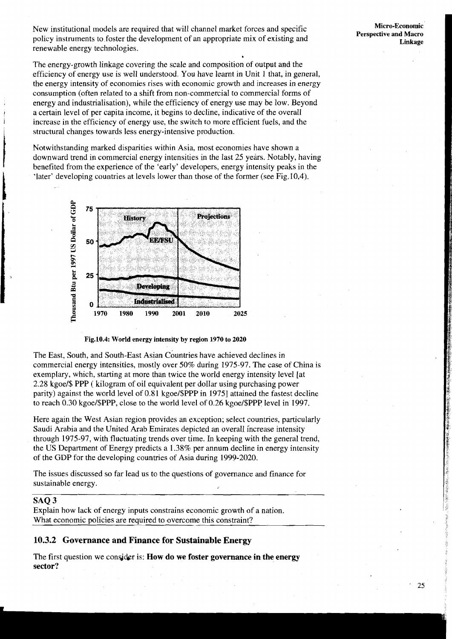New institutional models are required that will channel market forces and specific policy instruments to foster the development of an appropriate mix of existing and

The energy-growth linkage covering the scale and composition of output and the efficiency of energy use is well understood. You have learnt in Unit 1 that, in general, the energy intensity of economies rises with economic growth and increases in energy consumption (often related to a shift from non-commercial to commercial forms of energy and industrialisation), while the efficiency of energy use may be low. Beyond *<sup>I</sup>*a certain level of per capita income, it begins to decline, indicative of the overall increase in the efficiency of energy use, the switch to more efficient fuels, and the structural changes towards less energy-intensive production.

Notwithstanding marked disparities within Asia, most economies have shown a downward trend in commercial energy intensities in the last 25 years. Notably, having benefited from the experience of the 'early' developers, energy intensity peaks in the 'later' developing countries at levels lower than those of the former (see Fig.10.4).



**Fig.lO.4: World energy intensity by region 1970 to 2020** 

The East, South, and South-East Asian countries have achieved declines in commercial energy intensities, mostly over 50% during 1975-97. The case of China is exemplary, which, starting at more than twice the world energy intensity level [at 2.28 kgoe/\$ PPP ( kilogram of oil equivalent per dollar using purchasing power parity) against the world level of 0.81 kgoe/\$PPP in 19751 attained the fastest decline to reach 0.30 kgoe/\$PPP, close to the world level of 0.26 kgoe/\$PPP level in 1997.

Here again the West Asian region provides an exception; select countries, particularly Saudi Arabia and the United Arab Emirates depicted an overall increase intensity through 1975-97, with fluctuating trends over time. In keeping with the general trend, the US Department of Energy predicts a 1.38% per annum decline in energy intensity of the GDP for the developing countries of Asia during 1999-2020.

The issues discussed so far lead us to the questions of governance and finance for sustainable energy.

#### **SAQ 3**

Explain how lack of energy inputs constrains economic growth of a nation. What economic policies are required to overcome this constraint?

#### **10.3.2 Governance and Finance for Sustainable Energy**

The first question we consider is: **How do we foster governance in the energy sector?** 

25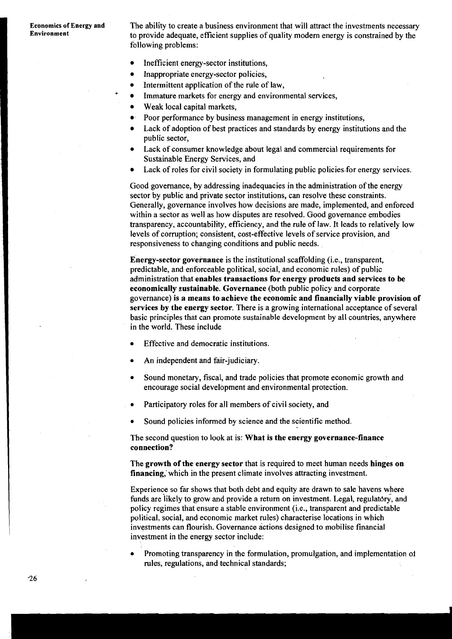#### **Economies of Energy and Environment**

The ability to create a business environment that will attract the investments necessary to provide adequate, efficient supplies of quality modern energy is constrained by the following problems:

- Inefficient energy-sector institutions,
- Inappropriate energy-sector policies,
- Intermittent application of the rule of law,
- Immature markets for energy and environmental services,  $\bullet$
- Weak local capital markets,
- Poor performance by business management in energy institutions,
- Lack of adoption of best practices and standards by energy institutions and the public sector,
- Lack of consumer knowledge about legal and commercial requirements for Sustainable Energy Services, and
- Lack of roles for civil society in formulating public policies.for energy services.

Good governance, by addressing inadequacies in the administration of the energy sector by public and private sector institutions, can resolve these constraints. Generally, governance involves how decisions are made, implemented, and enforced within a sector as well as how disputes are resolved. Good governance embodies transparency, accountability, efficiency, and the rule of law. It leads to relatively low levels of corruption; consistent, cost-effective levels of service provision, and responsiveness to changing conditions and public needs.

**Energy-sector governance** is the institutional scaffolding (i.e., transparent, predictable, and enforceable political, social, and economic rules) of public administration that **enables transactions for energy products and services to be economically sustainable. Governance** (both public policy and corporate governance) **is a means to achieve the economic and financially viable provision of**  services by the energy sector. There is a growing international acceptance of several basic principles that can promote sustainable development by all countries, anywhere in the world. These include

- Effective and democratic institutions.
- An independent and fair-judiciary.
- Sound monetary, fiscal, and trade policies that promote economic growth and encourage social development and environmental protection.
- Participatory roles for all members of civil society, and
- Sound policies informed by science and the scientific method.

The second question to look at is: **What is the energy governance-finance connection?** 

The **growth of the energy sector** that is required to meet human needs **hinges on financing,'which** in the present climate involves attracting investment.

Experience so far shows that both debt and equity are drawn to sale havens where funds are likely to grow and provide a return on investment. Legal, regulatory, and policy regimes that ensure a stable environment (i.e., transparent and predictable political, social, and economic market rules) characterise locations in which investments can flourish. Governance actions designed to mobilise financial investment in the energy sector include:

Promoting transparency in the formulation, promulgation, and implementation 01 rules, regulations, and technical standards;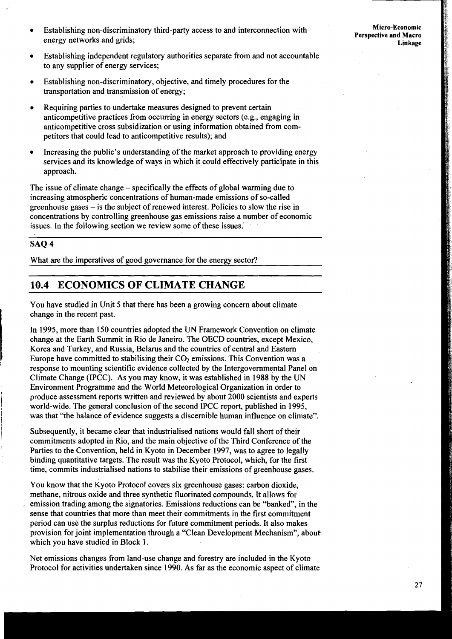- Establishing non-discriminatory third-party access to and interconnection with energy networks and grids;
- Micro-Economic Perspective and Macro Linkage
- Establishing independent regulatory authorities separate from and not accountable  $\bullet$ to any supplier of energy services;
- Establishing non-discriminatory, objective, and timely procedures for the  $\bullet$ transportation and transmission of energy;
- Requiring parties to undertake measures designed to prevent certain anticompetitive practices from occurring in energy sectors (e.g., engaging in anticompetitive cross subsidization or using information obtained from competitors that could lead to anticompetitive results); and
- Increasing the public's understanding of the market approach to providing energy services and its knowledge of ways in which it could effectively participate in this approach.

The issue of climate change – specifically the effects of global warming due to increasing atmospheric concentrations of human-made emissions of so-called greenhouse gases - is the subject of renewed interest. Policies to slow the rise in concentrations by controlling greenhouse gas emissions raise a number of economic issues. In the following section we review some of these issues.'

# SAQ 4

i

I

What are the imperatives of good governance for the energy sector?

# **10.4 ECONOMICS OF CLIMATE CHANGE**

You have studied in Unit 5 that there has been a growing concern about climate change in the recent past.<br>In 1995, more than 150 countries adopted the UN Framework Convention on climate

In 1995, more than 150 countries adopted the UN Framework Convention on climate change at the Earth Summit in Rio de Janeiro. The OECD countries, except Mexico, Korea and Turkey, and Russia, Belarus and the countries of c change at the Earth Summit in Rio de Janeiro. The OECD countries, except Mexico, Korea and Turkey, and Russia, Belarus and the countries of central and Eastern response to mounting scientific evidence collected by the Intergovernmental Panel on Climate Change (IPCC). As you may know, it was established in 1988 by the UN Environment Programme and the World Meteorological Organization in order to produce assessment reports written and reviewed by about 2000 scientists and experts produce assessment reports written and reviewed by about 2000 scientists and experts world-wide. The general conclusion of the second IPCC report, published in 1995, was that "the balance of evidence suggests a discernible human influence on climate".

Subsequently, it became clear that industrialised nations would fall short of their commitments adopted in Rio, and the main objective of the Third Conference of the Parties to the Convention, held in Kyoto in December 1997, was to agree to legally binding quantitative targets. The result was the Kyoto Protocol, which, for the first time, commits industrialised nations to stabilise their emissions of greenhouse gases.

You know that the Kyoto Protocol covers six greenhouse gases: carbon dioxide, methane, nitrous oxide and three synthetic fluorinated compounds. It allows for emission trading among the signatories. Emissions reductions can be "banked", in the sense that countries that more than meet their commitments in the first commitment period can use the surplus reductions for future commitment periods. It also makes provision for joint implementation through a "Clean Development Mechanism", about which you have studied in Block 1.

Net emissions changes from land-use change and forestry are included in the Kyoto<br>Protocol for activities undertaken since 1990. As far as the economic aspect of climate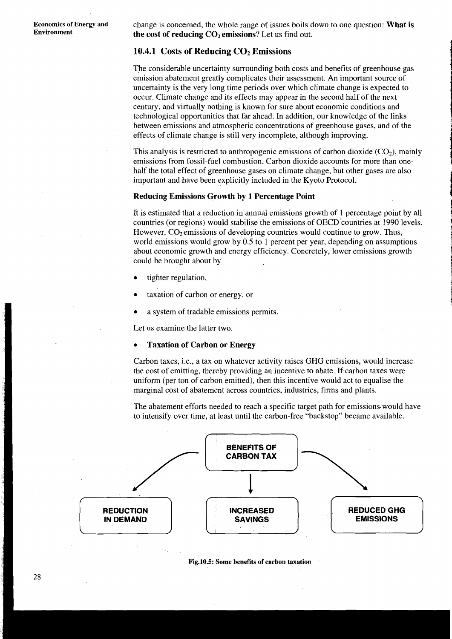**Economics of Energy and** change is concerned, the whole range of issues boils down to one question: **What is Environment** the cost of reducing  $\Omega$ , emissions<sup>2</sup> Let us find out **the cost of reducing**  $CO<sub>2</sub>$  **emissions?** Let us find out.

# 10.4.1 Costs of Reducing CO<sub>2</sub> Emissions

The considerable uncertainty surrounding both costs and benefits of greenhouse gas emission abatement greatly complicates their assessment. An important source of uncertainty is the very long time periods over which climate change is expected to occur. Climate change and its effects may appear in the second half of the next century, and virtually nothing is known for sure about economic conditions and technological opportunities that far ahead. In addition, our knowledge of the links between emissions and atmospheric concentrations of greenhouse gases, and of the effects of climate change is still very incomplete, although improving.

This analysis is restricted to anthropogenic emissions of carbon dioxide  $(CO<sub>2</sub>)$ , mainly emissions from fossil-fuel combustion. Carbon dioxide accounts for more than onehalf the total effect of greenhouse gases on climate change, but other gases are also important and have been explicitly included in the Kyoto Protocol.

#### **Reducing Emissions Growth by 1 Percentage Point**

It is estimated that a reduction in annual emissions growth of 1 percentage point by all countries (or regions) would stabilise the emissions of OECD 'countries at 1990 levels: However,  $CO<sub>2</sub>$  emissions of developing countries would continue to grow. Thus, world emissions would grow by 0.5 to 1 percent per year, depending on assumptions about economic growth and energy efficiency. Concretely, lower emissions growth could be brought about by

- tighter regulation,
- taxation of carbon or energy, or
- a system of tradable emissions permits.

Let us examine the latter two.

#### **Taxation of Carbon or Energy**

Carbon taxes, i.e., a tax on whatever activity raises GHG emissions, would increase the cost of emitting, thereby providing an incentive to abate. If carbon taxes were uniform (per ton of carbon emitted), then this incentive would act to equalise the marginal cost of abatement across countries, industries, firms and plants.

The abatement efforts needed to reach a specific target path for emissions.would have to intensify over time, at least until the carbon-free "backstop" became available.



**Fig.lO.5: Some benefits of carbon taxation** 

28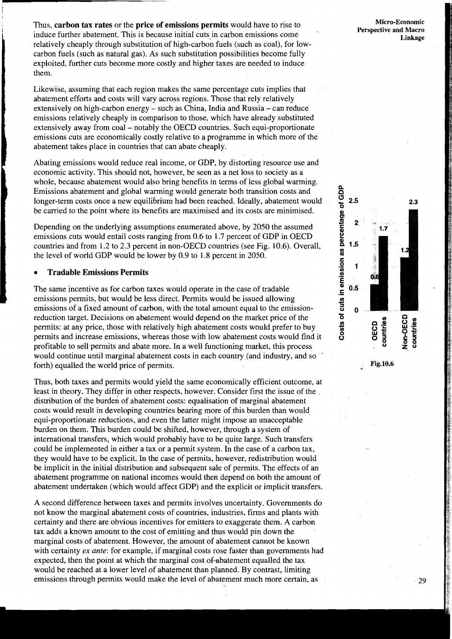Thus, **carbon tax rates** or the **price of emissions permits** would have to rise to induce further abatement. This is because initial cuts in carbon emissions come<br>relatively cheaply through substitution of high-carbon fuels (such as coal), for lo<br>carbon fuels (such as natural gas). As such substitution p relatively cheaply through substitution of high-carbon fuels (such as coal), for lowcarbon fuels (such as natural gas). As such substitution possibilities become fully exploited, further cuts become more costly and higher taxes are needed to induce them.

Likewise, assuming that each region makes the same percentage cuts implies that abatement efforts and costs will vary across regions. Those that rely relatively extensively on high-carbon energy - such as China, India and Russia - can reduce emissions relatively cheaply in comparison to those, which have already substituted extensively away from coal – notably the OECD countries. Such equi-proportionate emissions cuts are economically costly relative to a programme in which more of the abatement takes place in countries that can abate cheaply.

Abating emissions would reduce real income, or GDP, by distorting resource use and economic activity. This should not, however, be seen as a net loss to society as a whole, because abatement would also bring benefits in terms of less global warming. I Emissions abatement and global warming would generate both transition costs and longer-term costs once a new equilibrium had been reached. Ideally, abatement would be carried to the point where its benefits are maximised and its costs are minimised.

Depending on the underlying assumptions enumerated above, by 2050 the assumed emissions cuts would entail costs ranging from 0.6 to 1.7 percent of GDP in OECD countries and from 1.2 to 2.3 percent in non-OECD countries (see Fig. 10.6). Overall, the level of world GDP would be lower by 0.9 to 1.8 percent in 2050.

#### **Tradable Emissions Permits**

i

The same incentive as for carbon taxes would operate in the case of tradable **<sup>i</sup>**emissions permits, but would be less direct. Permits would be issued allowing emissions of a fixed amount of carbon, with the total amount equal to the emissionreduction target. Decisions on abatement would depend on the market price of the permits: at any price, those with relatively high abatement costs would prefer to buy permits and increase emissions, whereas those with low abatement costs would find it profitable to sell permits and abate more. In a well functioning market, this process would continue until marginal abatement costs in each country (and industry, and so forth) equalled the world price of permits.

Thus, both taxes and permits would yield the same economically efficient outcome, at least in theory. They differ in other respects, however. Consider first the issue of the distribution of the burden of abatement costs: equalisation of marginal abatement costs would result in developing countries bearing more of this burden than would equi-proportionate reductions, and even the latter might impose an unacceptable burden on them. This burden could be shifted, however, through a system of international transfers, which would probably have to be quite large. Such transfers could be implemented in either a tax or a permit system. In the case of a carbon tax, they would have to be explicit. In the case of permits, however, redistribution would be implicit in the initial distribution and subsequent sale of permits. The effects of an abatement programme on national incomes would then depend on both the amount of abatement undertaken (which would affect GDP) and the explicit or implicit transfers.

A second difference between taxes and permits involves uncertainty. Governments do not know the marginal abatement costs of countries, industries, firms and plants with certainty and there are obvious incentives for emitters to exaggerate them. A carbon tax adds a known amount to the cost of emitting and thus would pin down the marginal costs of abatement. However, the amount of abatement cannot be known with certainty **ex** *ante:* for example, if marginal costs rose faster than governments had expected, then the point at which the marginal cost of-abatement equalled the tax would be reached at a lower level of abatement than planned. By contrast, limiting emissions through permits would make the level of abatement much more certain, as

**Micro-Economic Perspective and Macro Linkage** 

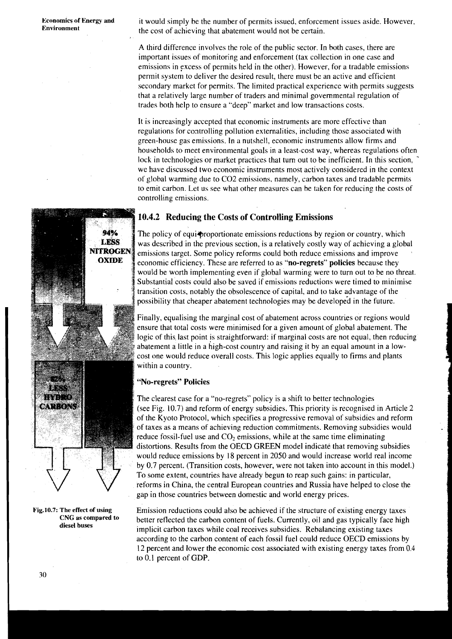**Economics of Energy and** it would simply be the number of permits issued, enforcement issues aside. However, **Environment** the cost of achieving that abatement would not be certain.

> A third difference involves the role of the public sector. In both cases, there are important issues of monitoring and enforcement (tax collection in one case and emissions in excess of permits held in the other). However, for a tradable emissions permit system to deliver the desired result, there must be an active and efficient secondary market for permits. The limited practical experience with permits suggests that a relatively large number of traders and minimal governmental regulation of trades both help to ensure a "deep" market and low transactions costs.

It is increasingly accepted that economic instruments are more effective than regulations for controlling pollution externalities, including those associated with green-house gas emissions. In a nutshell, economic instruments allow firms and households to meet environmental goals in a least-cost way, whereas regulations often lock in technologies or market practices that turn out to be inefficient. In this section, we have discussed two economic instruments most actively considered in the context of global warming due to C02 emissions, namely, carbon taxes and tradable permits to emit carbon. Let us see what other measures can be taken for reducing the costs of controlling emissions.

# **10.4.2 Reducing the Costs of Controlling Emissions**

The policy of equi<sup>p</sup>roportionate emissions reductions by region or country, which was described in the previous section, is a relatively costly way of achieving a global emissions target. Some policy reforms could both reduce emissions and improve economic efficiency. These are referred to as **"no-regrets" policies** because they would be worth implementing even if global warming were to turn out to be no threat. Substantial costs could also be saved if emissions reductions were timed to minimise transition costs, notably the obsolescence of capital, and to take advantage of the possibility that cheaper abatement technologies may be developed in the future.

Finally, equalising the marginal cost of abatement across countries or regions would ensure that total costs were minimised for a given amount of global abatement. The logic of this. last point is straightforward: if marginal costs are not equal, then reducing abatement a little in a high-cost country and raising it by an equal amount in a lowcost one would reduce overall costs. This logic applies equally to firms and plants within a country.

# **"No-regrets" Policies**

The clearest case for a "no-regrets" policy is a shift to better technologies (see Fig. 10.7) and reform of energy subsidies. This priority is recognised in Article 2 of the Kyoto Protocol, which specifies a progressive removal of subsidies and reform of taxes as a means of achieving reduction commitments. Removing subsidies would reduce fossil-fuel use and  $CO<sub>2</sub>$  emissions, while at the same time eliminating distortions. Results from the OECD GREEN model indicate that removing subsidies would reduce emissions by 18 percent in 2050 and would increase world real income by 0.7 percent. (Transition costs, however, were not taken into account in this model.) To some extent, countries have already begun to reap such gains: in particular, reforms in China, the central European countries and Russia have helped to close the gap in those countries between domestic and world energy prices.

Emission reductions could also be achieved if the structure of existing energy taxes better reflected the carbon content of fuels. Currently, oil and gas typically face high implicit carbon taxes while coal receives subsidies. Rebalancing existing taxes according to the carbon content of each fossil fuel could reduce OECD emissions by 12 percent and lower the economic cost associated with existing energy taxes from 0.4 to 0.1 percent of GDP.



**Fig.lO.7: The effect of using CNG as compared to diesel buses**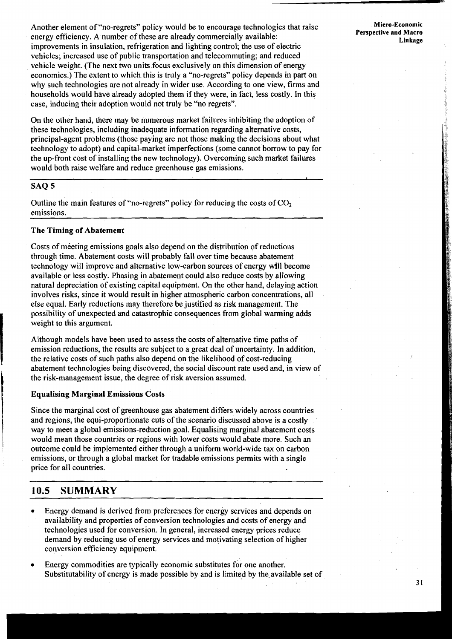Another element of "no-regrets" policy would be to encourage technologies that raise energy efficiency. **A** number of these are already commercially available: improvements in insulation, refrigeration and lighting control; the use of electric vehicles; increased use of public transportation and telecommuting; and reduced vehicle weight. (The next two units focus exclusively on this dimension of energy economics.) The extent to which this is truly a "no-regrets" policy depends in part on why such technologies are not already in wider use. According to one view, firms and households would have already adopted them if they were, in fact, less costly. In this case, inducing their adoption would not truly be "no regrets".

On the other hand, there may be numerous market failures inhibiting the adoption of these technologies, including inadequate information regarding alternative costs, principal-agent problems (those paying are not those making the decisions about what technology to adopt) and capital-market imperfections (some cannot borrow to pay for the up-front cost of installing the new technology). Overcoming such market failures would both raise welfare and reduce greenhouse gas emissions.

# **SAQ 5**

Outline the main features of "no-regrets" policy for reducing the costs of CO<sub>2</sub> emissions.

#### **The Timing of Abatement**

Costs of meeting emissions goals also depend on the distribution of reductions through time. Abatement costs will probably fall over time because abatement technology will improve and alternative low-carbon sources of energy will become available or less costly. Phasing in abatement could also reduce costs by allowing natural depreciation of existing capital equipment. On the other hand, delaying action involves risks, since it would result in higher atmospheric carbon concentrations, all else equal. Early reductions may therefore be justified as risk management. The possibility of unexpected and catastrophic consequences from global warming adds **1** weight to this argument.

Although models have been used to assess the costs of alternative time paths of<br>emission reductions, the results are subject to a great deal of uncertainty. In addi<br>the relative costs of such paths also depend on the likel emission reductions, the results are subject to a great deal of uncertainty. In addition, the relative costs of such paths also depend on the likelihood of cost-reducing abatement technologies being discovered, the social discount rate used and, in view of the risk-management issue, the degree of risk aversion assumed.

#### **Equalising Marginal Emissions Costs**

<sup>1</sup>Since the marginal cost of greenhouse gas abatement differs widely across countries and regions, the equi-proportionate cuts of the scenario discussed above is a costly way to meet a global emissions-reduction goal. Equalising marginal abatement costs would mean those countries or regions with lower costs would abate more. Such an outcome could be implemented either through a uniform world-wide tax on carbon emissions, or through a global market for tradable emissions permits with a single price for all countries.

# **10.5 SUMMARY**

- Energy demand is derived from preferences for energy services and depends on availability and properties of conversion technologies and costs of energy and technologies used for conversion. In general, increased energy prices reduce demand by reducing use of energy services and motivating selection of higher conversion efficiency equipment.
- Energy commodities are typically economic substitutes for one another. Substitutability of energy is made possible by and is limited by the available set of

**Micro-Economic Perspective and Macro Linkage**